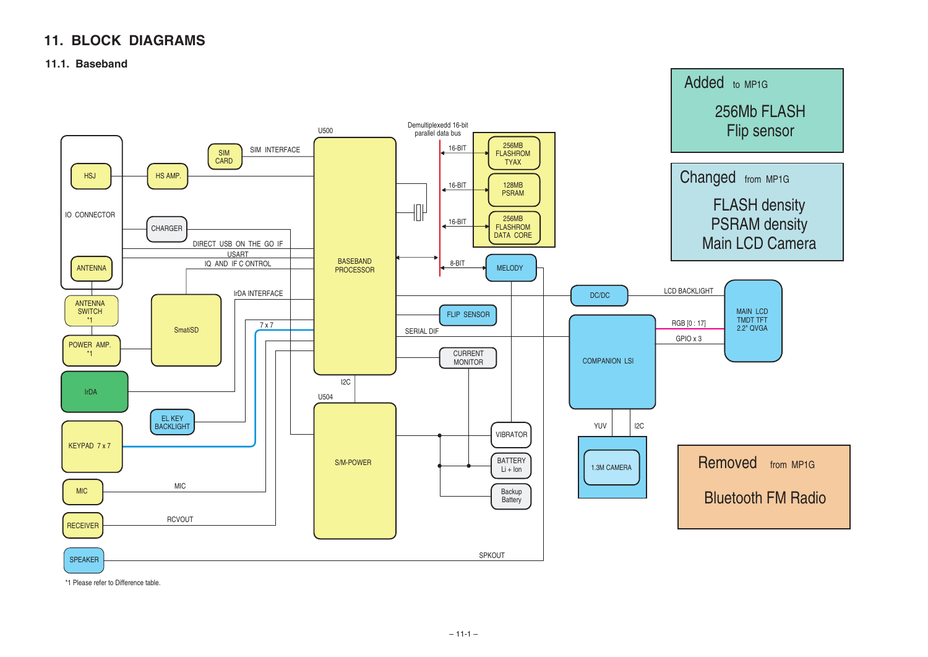# **11. BLOCK DIAGRAMS**

### **11.1. Baseband**

\*1 Please refer to Difference table.

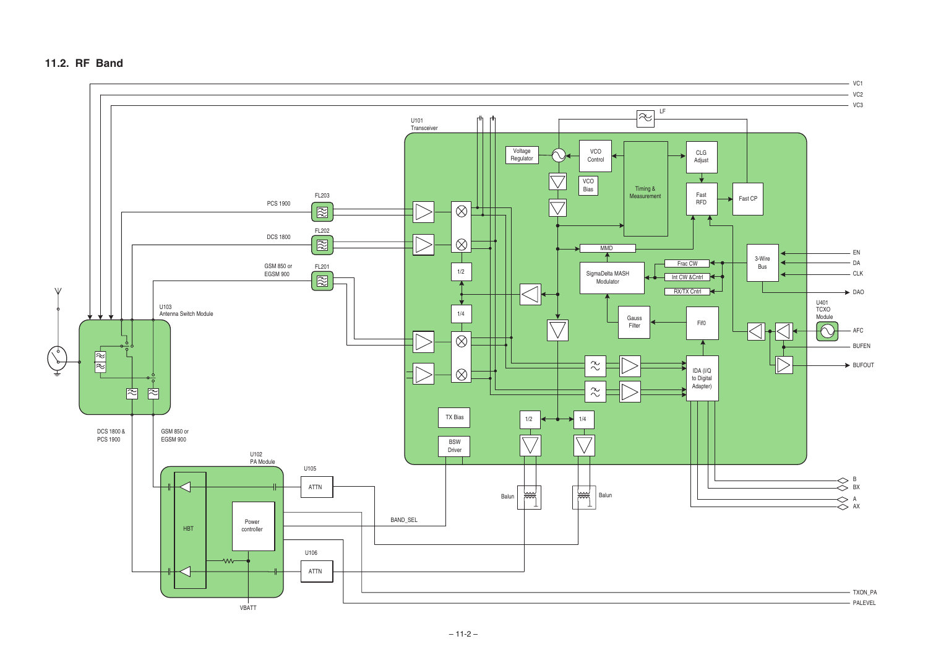

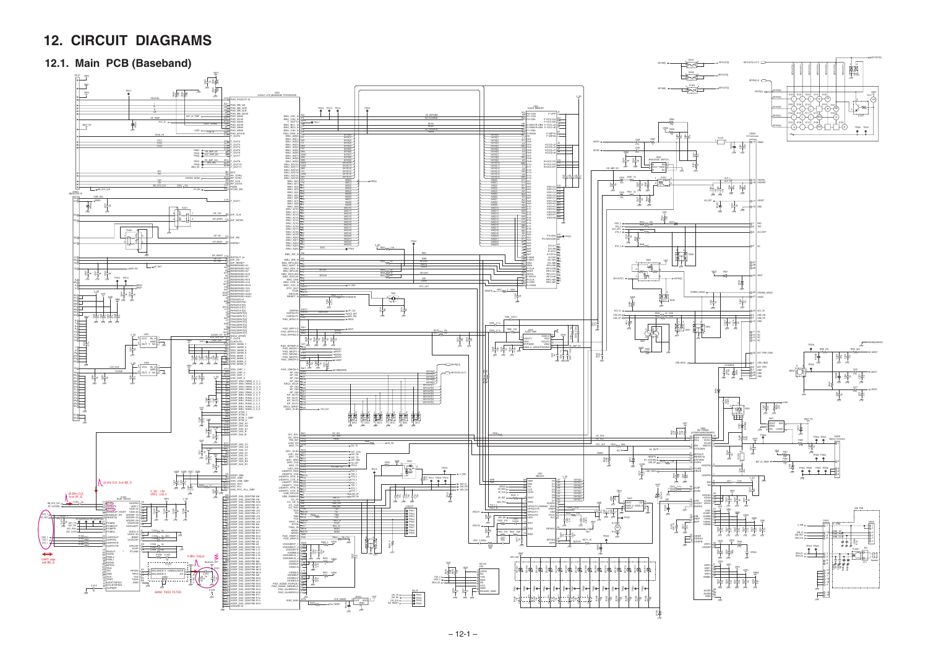# **12. CIRCUIT DIAGRAMS**

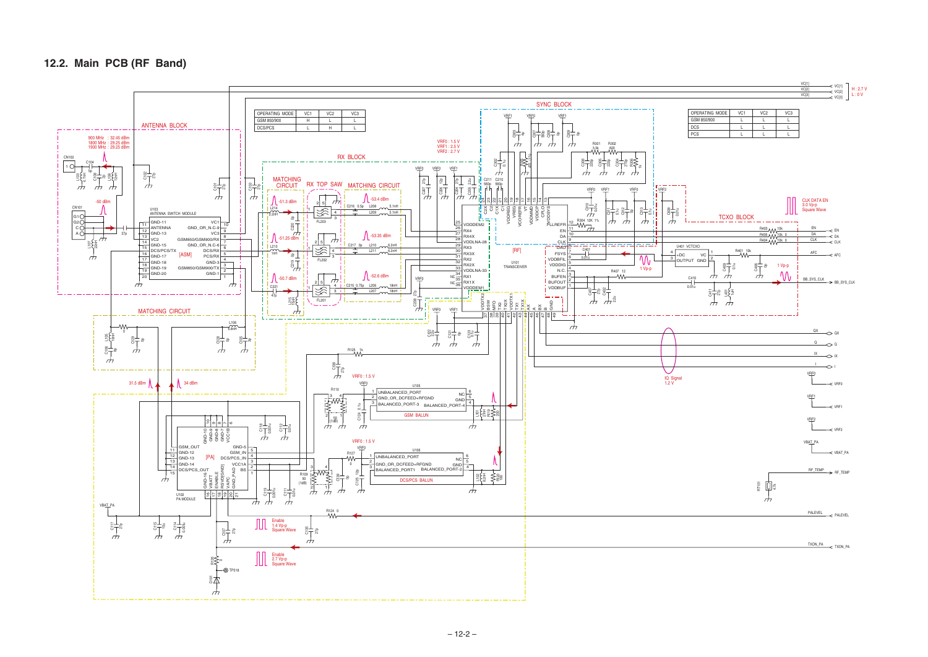### **12.2. Main PCB (RF Band)**



|             |                 |                 |                 | VC[1]<br>VC[2]<br>VC[3] | ←<br>← VC[1]<br>← VC[3]<br>H: 2.7 V<br>L:0V |
|-------------|-----------------|-----------------|-----------------|-------------------------|---------------------------------------------|
| RATING MODE | VC <sub>1</sub> | VC <sub>2</sub> | VC <sub>3</sub> |                         |                                             |
| 850/900     |                 |                 |                 |                         |                                             |
|             |                 |                 |                 |                         |                                             |
|             |                 |                 |                 |                         |                                             |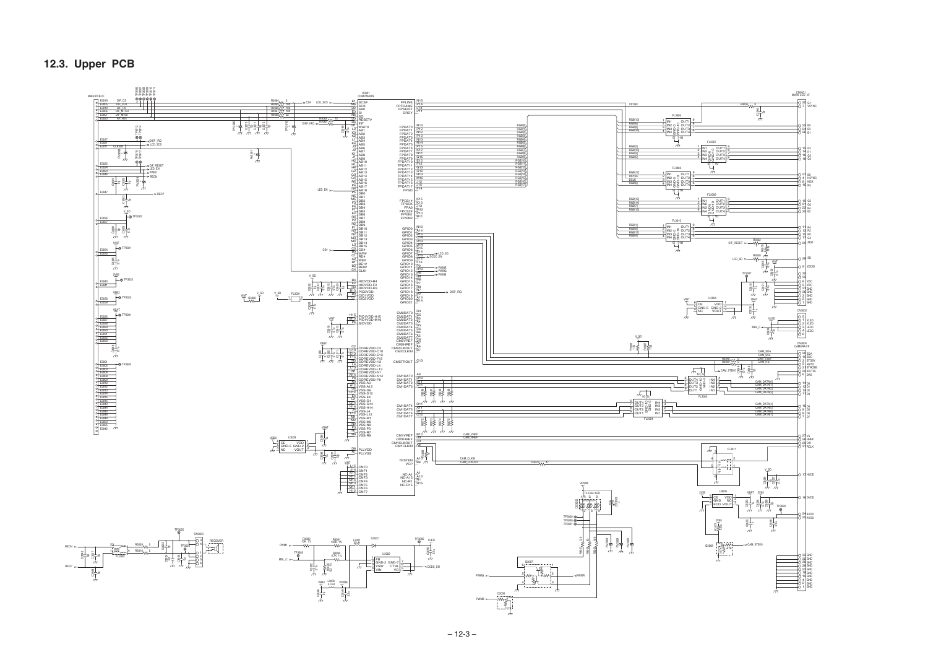## **12.3. Upper PCB**

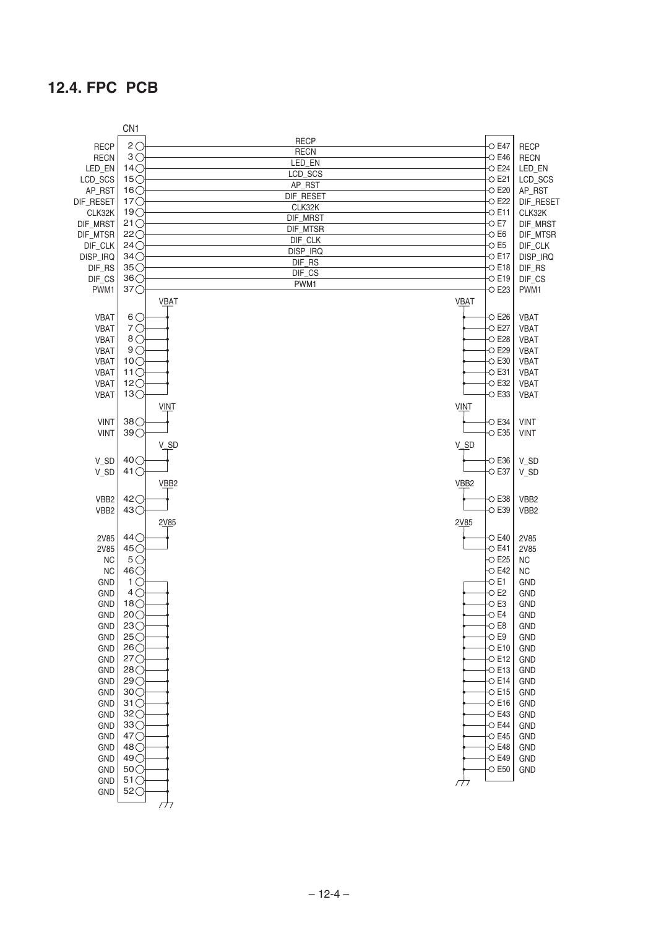## **12.4. FPC PCB**

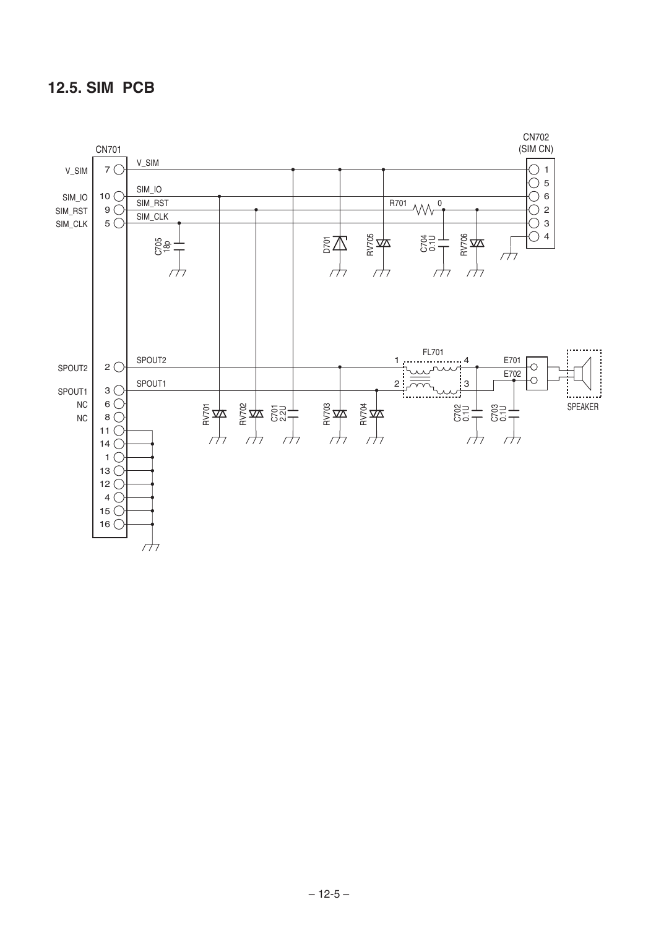## **12.5. SIM PCB**

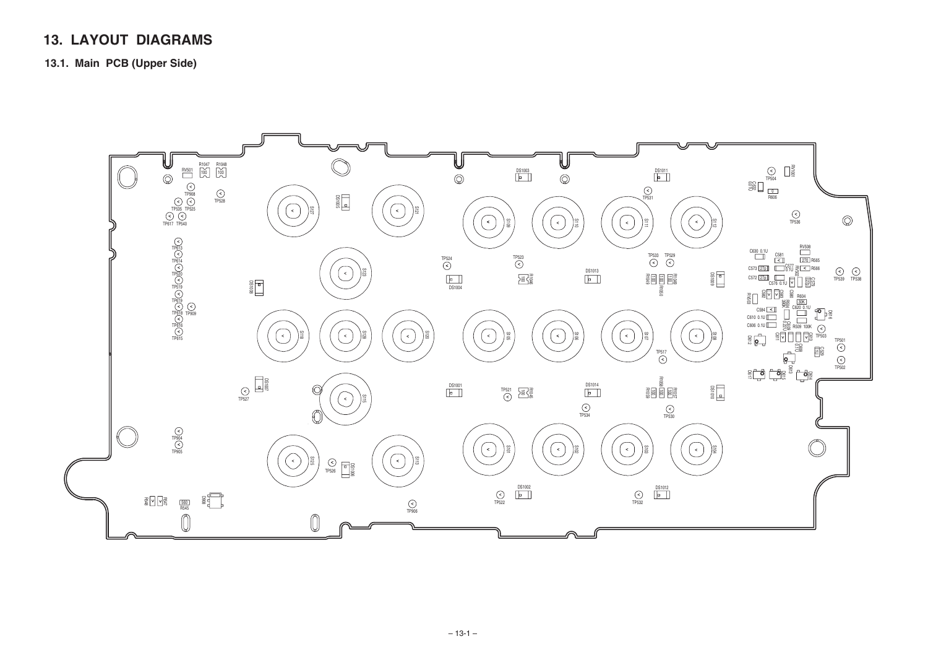# **13. LAYOUT DIAGRAMS**

**13.1. Main PCB (Upper Side)**

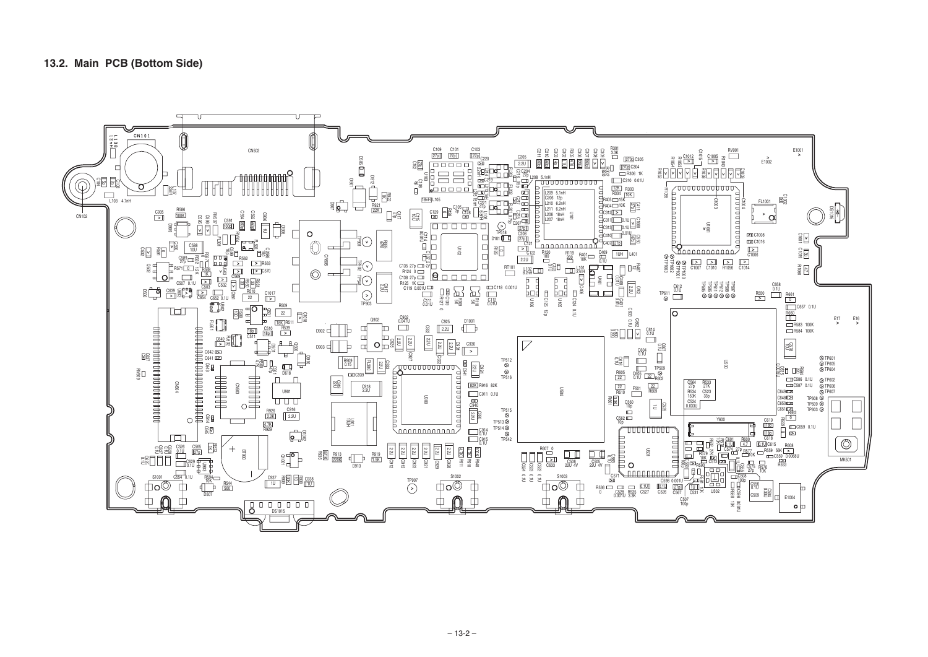#### **13.2. Main PCB (Bottom Side)**

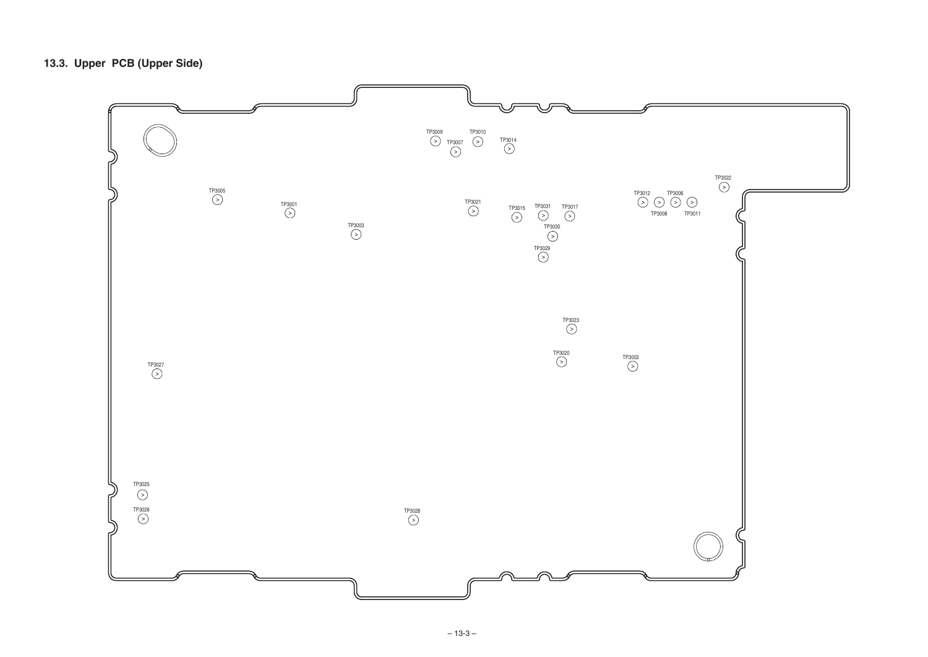# **13.3. Upper PCB (Upper Side)**

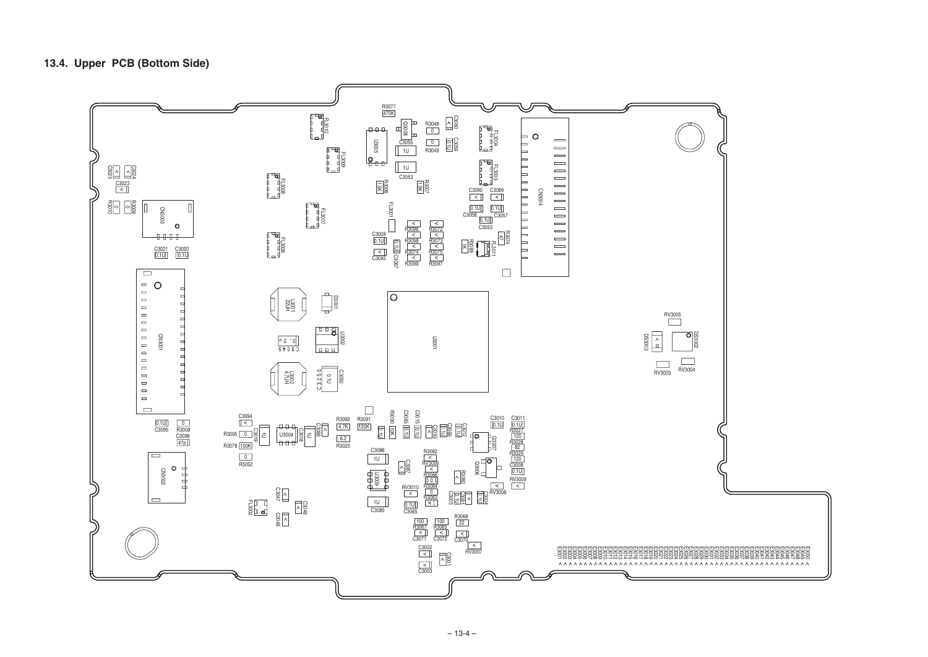## **13.4. Upper PCB (Bottom Side)**

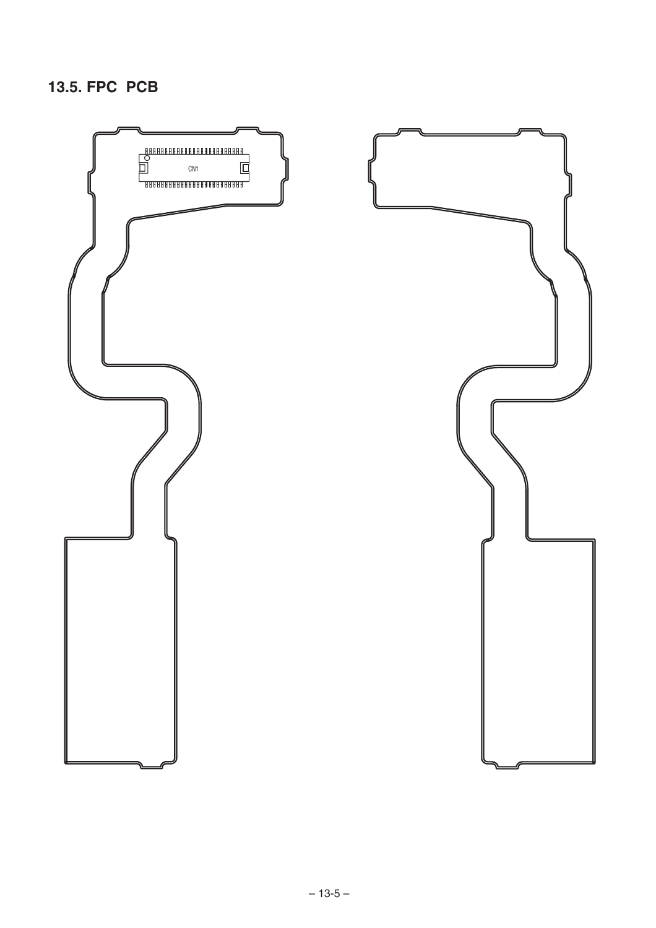## **13.5. FPC PCB**